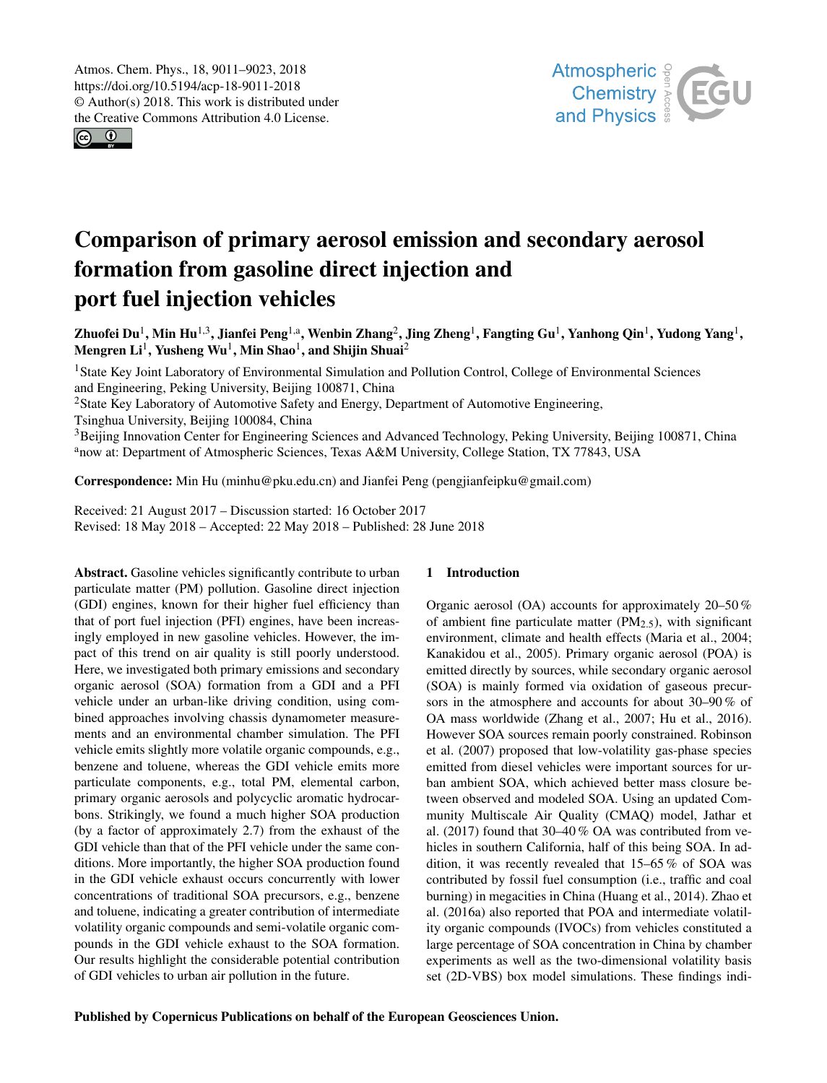<span id="page-0-1"></span> $\odot$   $\odot$ 



# Comparison of primary aerosol emission and secondary aerosol formation from gasoline direct injection and port fuel injection vehicles

Zhuofei Du<sup>[1](#page-0-0)</sup>, Min Hu<sup>[1,3](#page-0-0)</sup>, Jianfei Peng<sup>[1,a](#page-0-0)</sup>, Wenbin Zhang<sup>[2](#page-0-0)</sup>, Jing Zheng<sup>1</sup>, Fangting Gu<sup>1</sup>, Yanhong Qin<sup>1</sup>, Yudong Yang<sup>1</sup>, Mengren  ${\rm Li}^1$  ${\rm Li}^1$ , Yusheng Wu $^1$ , Min Shao $^1$ , and Shijin Shuai $^2$  $^2$ 

<sup>1</sup>State Key Joint Laboratory of Environmental Simulation and Pollution Control, College of Environmental Sciences and Engineering, Peking University, Beijing 100871, China <sup>2</sup>State Key Laboratory of Automotive Safety and Energy, Department of Automotive Engineering, Tsinghua University, Beijing 100084, China <sup>3</sup>Beijing Innovation Center for Engineering Sciences and Advanced Technology, Peking University, Beijing 100871, China <sup>a</sup>now at: Department of Atmospheric Sciences, Texas A&M University, College Station, TX 77843, USA

Correspondence: Min Hu (minhu@pku.edu.cn) and Jianfei Peng (pengjianfeipku@gmail.com)

Received: 21 August 2017 – Discussion started: 16 October 2017 Revised: 18 May 2018 – Accepted: 22 May 2018 – Published: 28 June 2018

<span id="page-0-0"></span>Abstract. Gasoline vehicles significantly contribute to urban particulate matter (PM) pollution. Gasoline direct injection (GDI) engines, known for their higher fuel efficiency than that of port fuel injection (PFI) engines, have been increasingly employed in new gasoline vehicles. However, the impact of this trend on air quality is still poorly understood. Here, we investigated both primary emissions and secondary organic aerosol (SOA) formation from a GDI and a PFI vehicle under an urban-like driving condition, using combined approaches involving chassis dynamometer measurements and an environmental chamber simulation. The PFI vehicle emits slightly more volatile organic compounds, e.g., benzene and toluene, whereas the GDI vehicle emits more particulate components, e.g., total PM, elemental carbon, primary organic aerosols and polycyclic aromatic hydrocarbons. Strikingly, we found a much higher SOA production (by a factor of approximately 2.7) from the exhaust of the GDI vehicle than that of the PFI vehicle under the same conditions. More importantly, the higher SOA production found in the GDI vehicle exhaust occurs concurrently with lower concentrations of traditional SOA precursors, e.g., benzene and toluene, indicating a greater contribution of intermediate volatility organic compounds and semi-volatile organic compounds in the GDI vehicle exhaust to the SOA formation. Our results highlight the considerable potential contribution of GDI vehicles to urban air pollution in the future.

# 1 Introduction

Organic aerosol (OA) accounts for approximately 20–50 % of ambient fine particulate matter  $(PM_{2.5})$ , with significant environment, climate and health effects (Maria et al., 2004; Kanakidou et al., 2005). Primary organic aerosol (POA) is emitted directly by sources, while secondary organic aerosol (SOA) is mainly formed via oxidation of gaseous precursors in the atmosphere and accounts for about 30–90 % of OA mass worldwide (Zhang et al., 2007; Hu et al., 2016). However SOA sources remain poorly constrained. Robinson et al. (2007) proposed that low-volatility gas-phase species emitted from diesel vehicles were important sources for urban ambient SOA, which achieved better mass closure between observed and modeled SOA. Using an updated Community Multiscale Air Quality (CMAQ) model, Jathar et al. (2017) found that 30–40 % OA was contributed from vehicles in southern California, half of this being SOA. In addition, it was recently revealed that 15–65 % of SOA was contributed by fossil fuel consumption (i.e., traffic and coal burning) in megacities in China (Huang et al., 2014). Zhao et al. (2016a) also reported that POA and intermediate volatility organic compounds (IVOCs) from vehicles constituted a large percentage of SOA concentration in China by chamber experiments as well as the two-dimensional volatility basis set (2D-VBS) box model simulations. These findings indi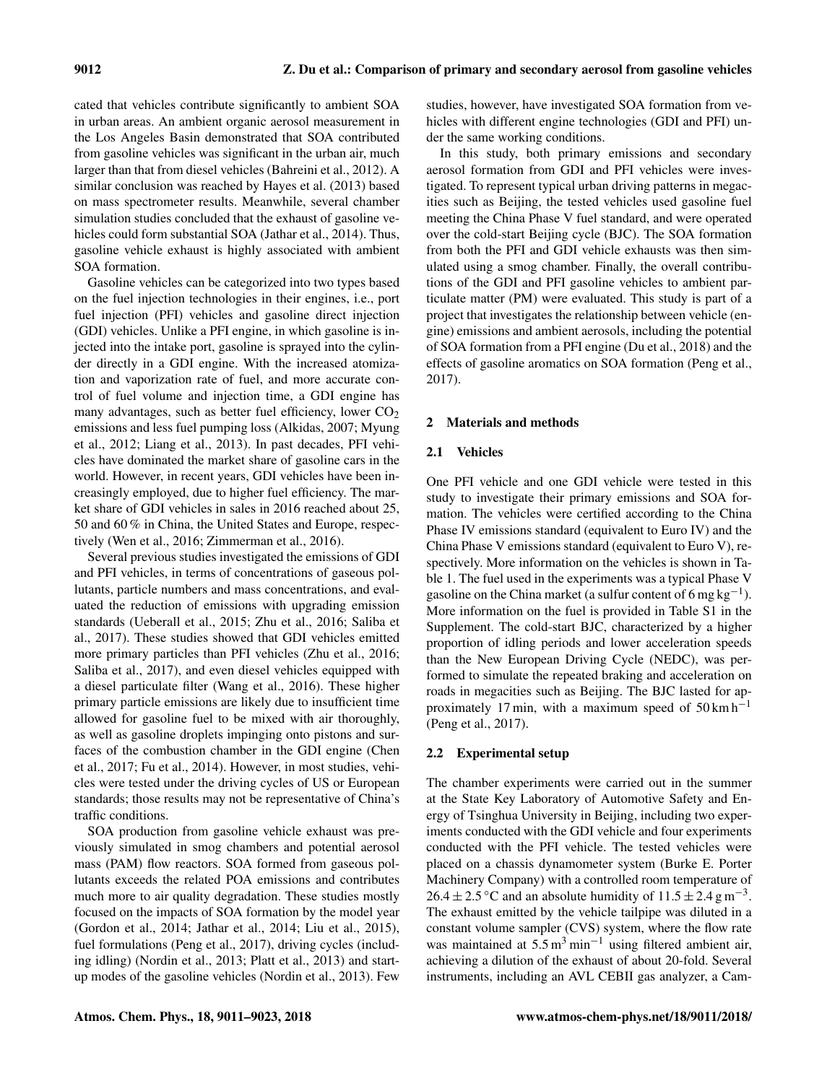cated that vehicles contribute significantly to ambient SOA in urban areas. An ambient organic aerosol measurement in the Los Angeles Basin demonstrated that SOA contributed from gasoline vehicles was significant in the urban air, much larger than that from diesel vehicles (Bahreini et al., 2012). A similar conclusion was reached by Hayes et al. (2013) based on mass spectrometer results. Meanwhile, several chamber simulation studies concluded that the exhaust of gasoline vehicles could form substantial SOA (Jathar et al., 2014). Thus, gasoline vehicle exhaust is highly associated with ambient SOA formation.

Gasoline vehicles can be categorized into two types based on the fuel injection technologies in their engines, i.e., port fuel injection (PFI) vehicles and gasoline direct injection (GDI) vehicles. Unlike a PFI engine, in which gasoline is injected into the intake port, gasoline is sprayed into the cylinder directly in a GDI engine. With the increased atomization and vaporization rate of fuel, and more accurate control of fuel volume and injection time, a GDI engine has many advantages, such as better fuel efficiency, lower  $CO<sub>2</sub>$ emissions and less fuel pumping loss (Alkidas, 2007; Myung et al., 2012; Liang et al., 2013). In past decades, PFI vehicles have dominated the market share of gasoline cars in the world. However, in recent years, GDI vehicles have been increasingly employed, due to higher fuel efficiency. The market share of GDI vehicles in sales in 2016 reached about 25, 50 and 60 % in China, the United States and Europe, respectively (Wen et al., 2016; Zimmerman et al., 2016).

Several previous studies investigated the emissions of GDI and PFI vehicles, in terms of concentrations of gaseous pollutants, particle numbers and mass concentrations, and evaluated the reduction of emissions with upgrading emission standards (Ueberall et al., 2015; Zhu et al., 2016; Saliba et al., 2017). These studies showed that GDI vehicles emitted more primary particles than PFI vehicles (Zhu et al., 2016; Saliba et al., 2017), and even diesel vehicles equipped with a diesel particulate filter (Wang et al., 2016). These higher primary particle emissions are likely due to insufficient time allowed for gasoline fuel to be mixed with air thoroughly, as well as gasoline droplets impinging onto pistons and surfaces of the combustion chamber in the GDI engine (Chen et al., 2017; Fu et al., 2014). However, in most studies, vehicles were tested under the driving cycles of US or European standards; those results may not be representative of China's traffic conditions.

SOA production from gasoline vehicle exhaust was previously simulated in smog chambers and potential aerosol mass (PAM) flow reactors. SOA formed from gaseous pollutants exceeds the related POA emissions and contributes much more to air quality degradation. These studies mostly focused on the impacts of SOA formation by the model year (Gordon et al., 2014; Jathar et al., 2014; Liu et al., 2015), fuel formulations (Peng et al., 2017), driving cycles (including idling) (Nordin et al., 2013; Platt et al., 2013) and startup modes of the gasoline vehicles (Nordin et al., 2013). Few studies, however, have investigated SOA formation from vehicles with different engine technologies (GDI and PFI) under the same working conditions.

In this study, both primary emissions and secondary aerosol formation from GDI and PFI vehicles were investigated. To represent typical urban driving patterns in megacities such as Beijing, the tested vehicles used gasoline fuel meeting the China Phase V fuel standard, and were operated over the cold-start Beijing cycle (BJC). The SOA formation from both the PFI and GDI vehicle exhausts was then simulated using a smog chamber. Finally, the overall contributions of the GDI and PFI gasoline vehicles to ambient particulate matter (PM) were evaluated. This study is part of a project that investigates the relationship between vehicle (engine) emissions and ambient aerosols, including the potential of SOA formation from a PFI engine (Du et al., 2018) and the effects of gasoline aromatics on SOA formation (Peng et al., 2017).

# 2 Materials and methods

# 2.1 Vehicles

One PFI vehicle and one GDI vehicle were tested in this study to investigate their primary emissions and SOA formation. The vehicles were certified according to the China Phase IV emissions standard (equivalent to Euro IV) and the China Phase V emissions standard (equivalent to Euro V), respectively. More information on the vehicles is shown in Table 1. The fuel used in the experiments was a typical Phase V gasoline on the China market (a sulfur content of 6 mg  $kg^{-1}$ ). More information on the fuel is provided in Table S1 in the Supplement. The cold-start BJC, characterized by a higher proportion of idling periods and lower acceleration speeds than the New European Driving Cycle (NEDC), was performed to simulate the repeated braking and acceleration on roads in megacities such as Beijing. The BJC lasted for approximately 17 min, with a maximum speed of  $50 \text{ km h}^{-1}$ (Peng et al., 2017).

# 2.2 Experimental setup

The chamber experiments were carried out in the summer at the State Key Laboratory of Automotive Safety and Energy of Tsinghua University in Beijing, including two experiments conducted with the GDI vehicle and four experiments conducted with the PFI vehicle. The tested vehicles were placed on a chassis dynamometer system (Burke E. Porter Machinery Company) with a controlled room temperature of  $26.4 \pm 2.5$  °C and an absolute humidity of  $11.5 \pm 2.4$  g m<sup>-3</sup>. The exhaust emitted by the vehicle tailpipe was diluted in a constant volume sampler (CVS) system, where the flow rate was maintained at  $5.5 \text{ m}^3 \text{ min}^{-1}$  using filtered ambient air, achieving a dilution of the exhaust of about 20-fold. Several instruments, including an AVL CEBII gas analyzer, a Cam-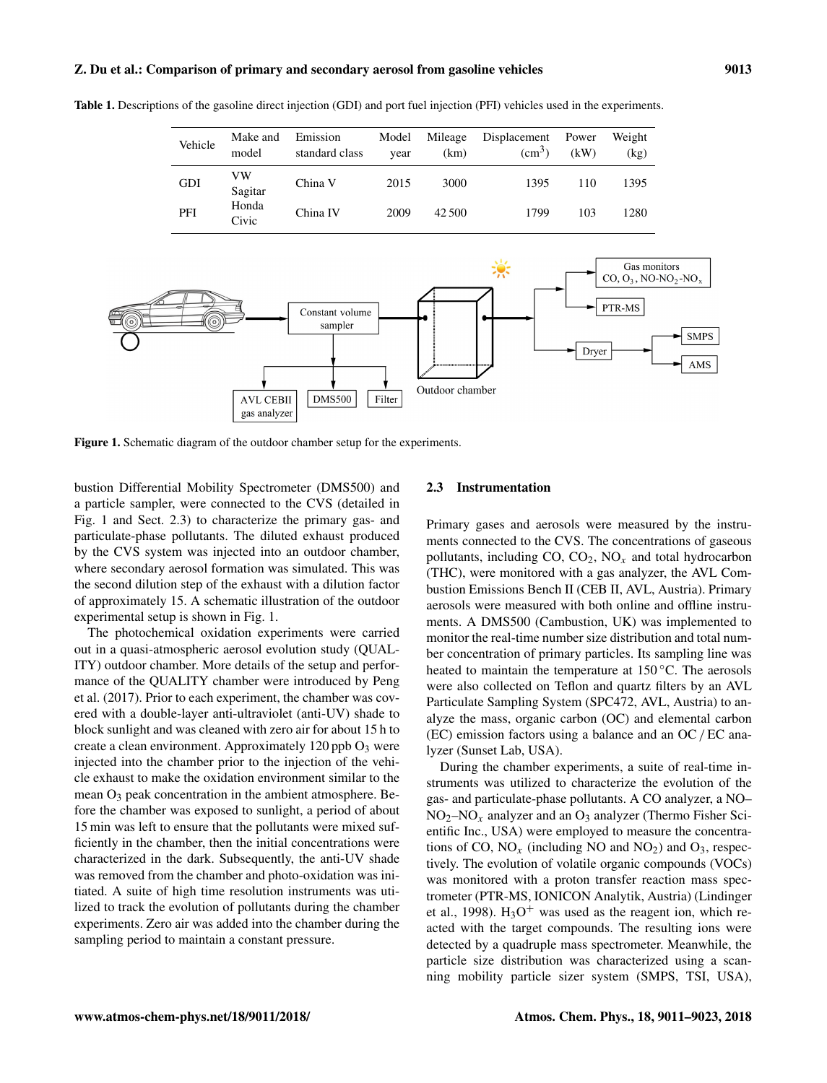# Z. Du et al.: Comparison of primary and secondary aerosol from gasoline vehicles 9013

Table 1. Descriptions of the gasoline direct injection (GDI) and port fuel injection (PFI) vehicles used in the experiments.

| Vehicle    | Make and<br>model | Emission<br>standard class | Model<br>vear | Mileage<br>(km) | Displacement Power<br>$\text{(cm}^3)$ | (kW) | Weight<br>(kg) |
|------------|-------------------|----------------------------|---------------|-----------------|---------------------------------------|------|----------------|
| <b>GDI</b> | VW<br>Sagitar     | China V                    | 2015          | 3000            | 1395                                  | 110  | 1395           |
| PFI        | Honda<br>Civic    | China IV                   | 2009          | 42.500          | 1799                                  | 103  | 1280           |



Figure 1. Schematic diagram of the outdoor chamber setup for the experiments.

bustion Differential Mobility Spectrometer (DMS500) and a particle sampler, were connected to the CVS (detailed in Fig. 1 and Sect. 2.3) to characterize the primary gas- and particulate-phase pollutants. The diluted exhaust produced by the CVS system was injected into an outdoor chamber, where secondary aerosol formation was simulated. This was the second dilution step of the exhaust with a dilution factor of approximately 15. A schematic illustration of the outdoor experimental setup is shown in Fig. 1.

The photochemical oxidation experiments were carried out in a quasi-atmospheric aerosol evolution study (QUAL-ITY) outdoor chamber. More details of the setup and performance of the QUALITY chamber were introduced by Peng et al. (2017). Prior to each experiment, the chamber was covered with a double-layer anti-ultraviolet (anti-UV) shade to block sunlight and was cleaned with zero air for about 15 h to create a clean environment. Approximately  $120$  ppb  $O<sub>3</sub>$  were injected into the chamber prior to the injection of the vehicle exhaust to make the oxidation environment similar to the mean O<sup>3</sup> peak concentration in the ambient atmosphere. Before the chamber was exposed to sunlight, a period of about 15 min was left to ensure that the pollutants were mixed sufficiently in the chamber, then the initial concentrations were characterized in the dark. Subsequently, the anti-UV shade was removed from the chamber and photo-oxidation was initiated. A suite of high time resolution instruments was utilized to track the evolution of pollutants during the chamber experiments. Zero air was added into the chamber during the sampling period to maintain a constant pressure.

## 2.3 Instrumentation

Primary gases and aerosols were measured by the instruments connected to the CVS. The concentrations of gaseous pollutants, including  $CO$ ,  $CO<sub>2</sub>$ ,  $NO<sub>x</sub>$  and total hydrocarbon (THC), were monitored with a gas analyzer, the AVL Combustion Emissions Bench II (CEB II, AVL, Austria). Primary aerosols were measured with both online and offline instruments. A DMS500 (Cambustion, UK) was implemented to monitor the real-time number size distribution and total number concentration of primary particles. Its sampling line was heated to maintain the temperature at  $150^{\circ}$ C. The aerosols were also collected on Teflon and quartz filters by an AVL Particulate Sampling System (SPC472, AVL, Austria) to analyze the mass, organic carbon (OC) and elemental carbon (EC) emission factors using a balance and an OC / EC analyzer (Sunset Lab, USA).

During the chamber experiments, a suite of real-time instruments was utilized to characterize the evolution of the gas- and particulate-phase pollutants. A CO analyzer, a NO–  $NO<sub>2</sub>–NO<sub>x</sub>$  analyzer and an  $O<sub>3</sub>$  analyzer (Thermo Fisher Scientific Inc., USA) were employed to measure the concentrations of CO,  $NO_x$  (including NO and  $NO_2$ ) and  $O_3$ , respectively. The evolution of volatile organic compounds (VOCs) was monitored with a proton transfer reaction mass spectrometer (PTR-MS, IONICON Analytik, Austria) (Lindinger et al., 1998).  $H_3O^+$  was used as the reagent ion, which reacted with the target compounds. The resulting ions were detected by a quadruple mass spectrometer. Meanwhile, the particle size distribution was characterized using a scanning mobility particle sizer system (SMPS, TSI, USA),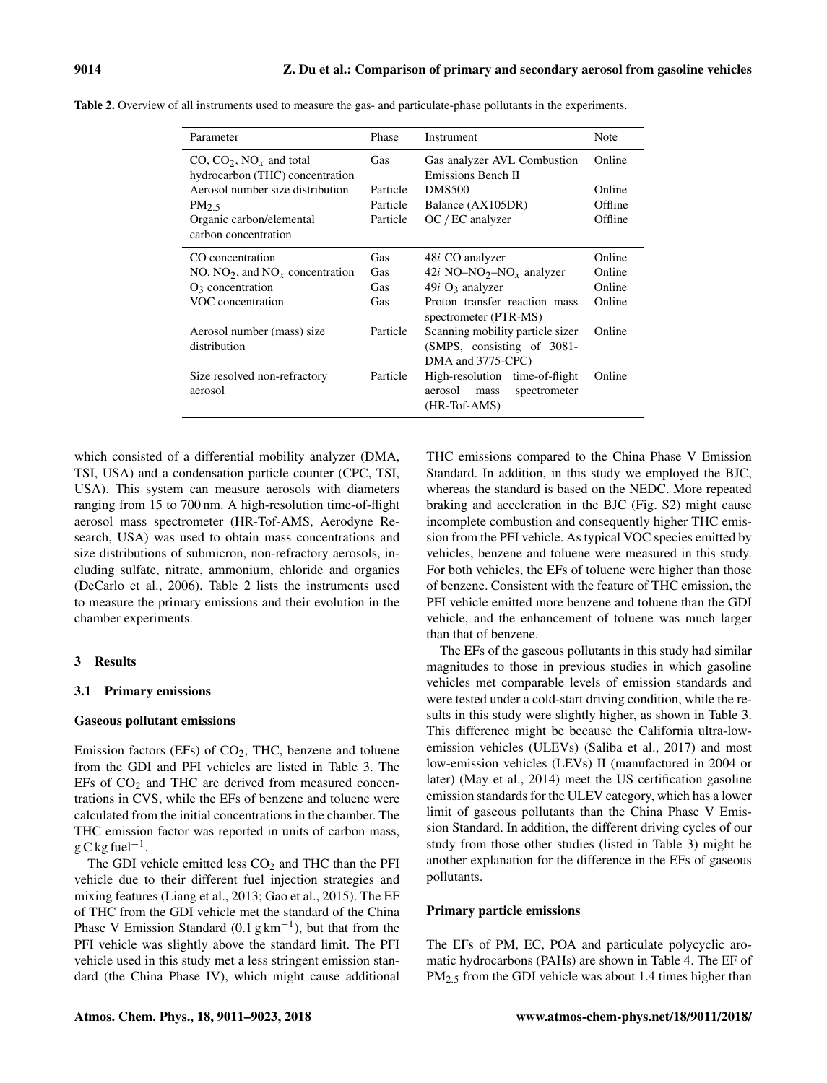| Parameter                                                            | Phase      | Instrument                                                                          | Note    |
|----------------------------------------------------------------------|------------|-------------------------------------------------------------------------------------|---------|
| CO, $CO_2$ , $NO_x$ and total<br>hydrocarbon (THC) concentration     | <b>Gas</b> | Gas analyzer AVL Combustion<br>Emissions Bench II                                   | Online  |
| Aerosol number size distribution                                     | Particle   | <b>DMS500</b>                                                                       | Online  |
| PM <sub>2.5</sub>                                                    | Particle   | Balance (AX105DR)                                                                   | Offline |
| Organic carbon/elemental<br>carbon concentration                     | Particle   | $OC / EC$ analyzer                                                                  | Offline |
| CO concentration                                                     | Gas        | 48 <i>i</i> CO analyzer                                                             | Online  |
| NO, NO <sub>2</sub> , and NO <sub><math>x</math></sub> concentration | Gas        | 42i NO-NO <sub>2</sub> -NO <sub>x</sub> analyzer                                    | Online  |
| $O_3$ concentration                                                  | Gas        | $49i$ O <sub>3</sub> analyzer                                                       | Online  |
| VOC concentration                                                    | Gas        | Proton transfer reaction mass<br>spectrometer (PTR-MS)                              | Online  |
| Aerosol number (mass) size<br>distribution                           | Particle   | Scanning mobility particle sizer<br>(SMPS, consisting of 3081-<br>DMA and 3775-CPC) | Online  |
| Size resolved non-refractory<br>aerosol                              | Particle   | High-resolution time-of-flight<br>aerosol<br>spectrometer<br>mass<br>$(HR-Tot-AMS)$ | Online  |

Table 2. Overview of all instruments used to measure the gas- and particulate-phase pollutants in the experiments.

which consisted of a differential mobility analyzer (DMA, TSI, USA) and a condensation particle counter (CPC, TSI, USA). This system can measure aerosols with diameters ranging from 15 to 700 nm. A high-resolution time-of-flight aerosol mass spectrometer (HR-Tof-AMS, Aerodyne Research, USA) was used to obtain mass concentrations and size distributions of submicron, non-refractory aerosols, including sulfate, nitrate, ammonium, chloride and organics (DeCarlo et al., 2006). Table 2 lists the instruments used to measure the primary emissions and their evolution in the chamber experiments.

# 3 Results

# 3.1 Primary emissions

#### Gaseous pollutant emissions

Emission factors (EFs) of  $CO<sub>2</sub>$ , THC, benzene and toluene from the GDI and PFI vehicles are listed in Table 3. The  $EFs$  of  $CO<sub>2</sub>$  and THC are derived from measured concentrations in CVS, while the EFs of benzene and toluene were calculated from the initial concentrations in the chamber. The THC emission factor was reported in units of carbon mass,  $g C kg fuel^{-1}$ .

The GDI vehicle emitted less  $CO<sub>2</sub>$  and THC than the PFI vehicle due to their different fuel injection strategies and mixing features (Liang et al., 2013; Gao et al., 2015). The EF of THC from the GDI vehicle met the standard of the China Phase V Emission Standard (0.1  $g \text{ km}^{-1}$ ), but that from the PFI vehicle was slightly above the standard limit. The PFI vehicle used in this study met a less stringent emission standard (the China Phase IV), which might cause additional THC emissions compared to the China Phase V Emission Standard. In addition, in this study we employed the BJC, whereas the standard is based on the NEDC. More repeated braking and acceleration in the BJC (Fig. S2) might cause incomplete combustion and consequently higher THC emission from the PFI vehicle. As typical VOC species emitted by vehicles, benzene and toluene were measured in this study. For both vehicles, the EFs of toluene were higher than those of benzene. Consistent with the feature of THC emission, the PFI vehicle emitted more benzene and toluene than the GDI vehicle, and the enhancement of toluene was much larger than that of benzene.

The EFs of the gaseous pollutants in this study had similar magnitudes to those in previous studies in which gasoline vehicles met comparable levels of emission standards and were tested under a cold-start driving condition, while the results in this study were slightly higher, as shown in Table 3. This difference might be because the California ultra-lowemission vehicles (ULEVs) (Saliba et al., 2017) and most low-emission vehicles (LEVs) II (manufactured in 2004 or later) (May et al., 2014) meet the US certification gasoline emission standards for the ULEV category, which has a lower limit of gaseous pollutants than the China Phase V Emission Standard. In addition, the different driving cycles of our study from those other studies (listed in Table 3) might be another explanation for the difference in the EFs of gaseous pollutants.

## Primary particle emissions

The EFs of PM, EC, POA and particulate polycyclic aromatic hydrocarbons (PAHs) are shown in Table 4. The EF of PM<sub>2.5</sub> from the GDI vehicle was about 1.4 times higher than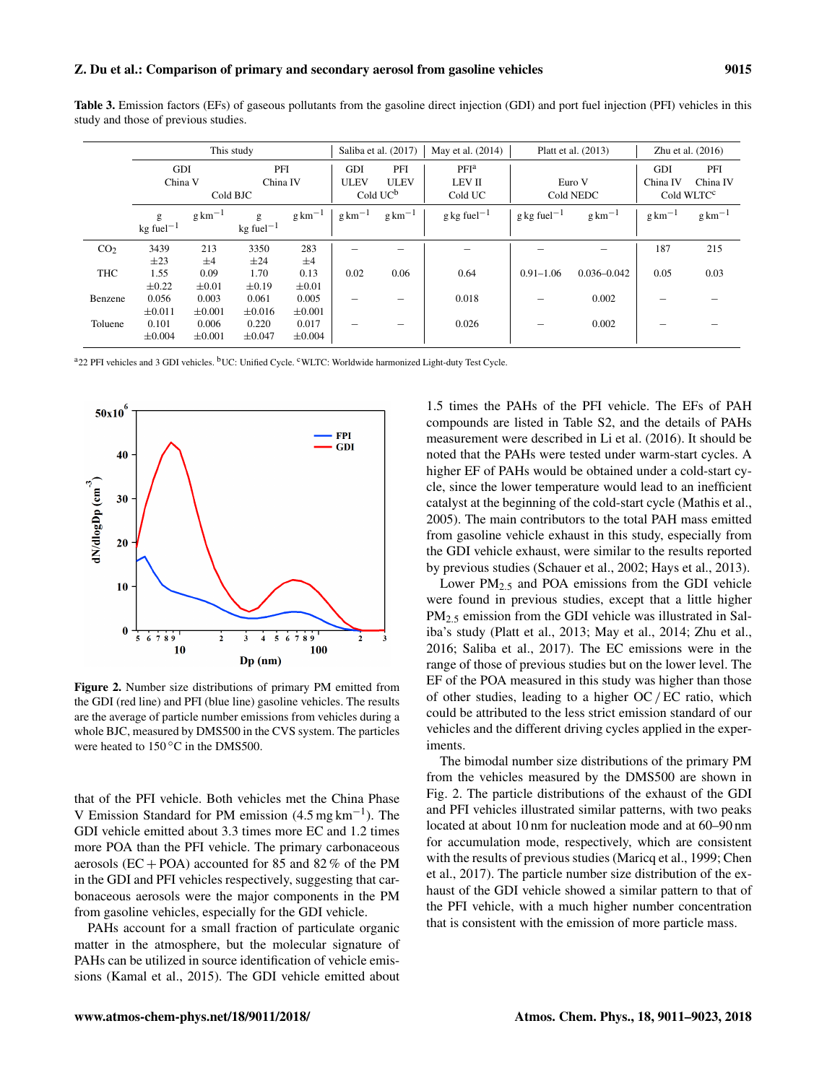| <b>Table 3.</b> Emission factors (EFs) of gaseous pollutants from the gasoline direct injection (GDI) and port fuel injection (PFI) vehicles in this |  |  |  |  |  |  |  |  |
|------------------------------------------------------------------------------------------------------------------------------------------------------|--|--|--|--|--|--|--|--|
| study and those of previous studies.                                                                                                                 |  |  |  |  |  |  |  |  |

|                 |                                                     |                               | This study                                          |                               | Saliba et al. (2017) |                     | May et al. (2014)                 | Platt et al. (2013)                                      | Zhu et al. $(2016)$ |                        |                     |
|-----------------|-----------------------------------------------------|-------------------------------|-----------------------------------------------------|-------------------------------|----------------------|---------------------|-----------------------------------|----------------------------------------------------------|---------------------|------------------------|---------------------|
|                 | GDI<br>PFI                                          |                               |                                                     | <b>GDI</b>                    | PFI                  | PFI <sup>a</sup>    |                                   |                                                          |                     | PFI                    |                     |
|                 | China V<br>China IV                                 |                               |                                                     | <b>ULEV</b>                   | <b>ULEV</b>          | <b>LEV II</b>       | Euro V                            |                                                          | China IV            | China IV               |                     |
|                 | Cold BJC                                            |                               |                                                     |                               |                      | Cold $UC^b$         | Cold UC                           |                                                          | Cold NEDC           | Cold WLTC <sup>c</sup> |                     |
|                 | $g \text{ km}^{-1}$<br>g<br>$kg$ fuel <sup>-1</sup> |                               | $g \text{ km}^{-1}$<br>g<br>$kg$ fuel <sup>-1</sup> |                               | $g \text{ km}^{-1}$  | $g \text{ km}^{-1}$ | $g \text{ kg}$ fuel <sup>-1</sup> | $g \text{ km}^{-1}$<br>$g \text{ kg}$ fuel <sup>-1</sup> |                     | $g \text{ km}^{-1}$    | $g \text{ km}^{-1}$ |
| CO <sub>2</sub> | 3439                                                | 213                           | 3350                                                | 283                           |                      | -                   |                                   |                                                          |                     | 187                    | 215                 |
| THC             | $\pm 23$<br>1.55<br>$\pm 0.22$                      | $\pm 4$<br>0.09<br>$\pm 0.01$ | $\pm 24$<br>1.70<br>$\pm 0.19$                      | $\pm 4$<br>0.13<br>$\pm 0.01$ | 0.02                 | 0.06                | 0.64                              | $0.91 - 1.06$                                            | $0.036 - 0.042$     | 0.05                   | 0.03                |
| Benzene         | 0.056<br>$\pm 0.011$                                | 0.003<br>$\pm 0.001$          | 0.061<br>$\pm 0.016$                                | 0.005<br>$\pm 0.001$          |                      |                     | 0.018                             |                                                          | 0.002               |                        |                     |
| Toluene         | 0.101<br>$\pm 0.004$                                | 0.006<br>$\pm 0.001$          | 0.220<br>±0.047                                     | 0.017<br>$\pm 0.004$          |                      |                     | 0.026                             | -                                                        | 0.002               |                        |                     |

a22 PFI vehicles and 3 GDI vehicles. bUC: Unified Cycle. <sup>c</sup>WLTC: Worldwide harmonized Light-duty Test Cycle.



Figure 2. Number size distributions of primary PM emitted from the GDI (red line) and PFI (blue line) gasoline vehicles. The results are the average of particle number emissions from vehicles during a whole BJC, measured by DMS500 in the CVS system. The particles were heated to 150 °C in the DMS500.

that of the PFI vehicle. Both vehicles met the China Phase V Emission Standard for PM emission (4.5 mg km−<sup>1</sup> ). The GDI vehicle emitted about 3.3 times more EC and 1.2 times more POA than the PFI vehicle. The primary carbonaceous aerosols (EC + POA) accounted for 85 and 82 % of the PM in the GDI and PFI vehicles respectively, suggesting that carbonaceous aerosols were the major components in the PM from gasoline vehicles, especially for the GDI vehicle.

PAHs account for a small fraction of particulate organic matter in the atmosphere, but the molecular signature of PAHs can be utilized in source identification of vehicle emissions (Kamal et al., 2015). The GDI vehicle emitted about

1.5 times the PAHs of the PFI vehicle. The EFs of PAH compounds are listed in Table S2, and the details of PAHs measurement were described in Li et al. (2016). It should be noted that the PAHs were tested under warm-start cycles. A higher EF of PAHs would be obtained under a cold-start cycle, since the lower temperature would lead to an inefficient catalyst at the beginning of the cold-start cycle (Mathis et al., 2005). The main contributors to the total PAH mass emitted from gasoline vehicle exhaust in this study, especially from the GDI vehicle exhaust, were similar to the results reported by previous studies (Schauer et al., 2002; Hays et al., 2013).

Lower PM2.<sup>5</sup> and POA emissions from the GDI vehicle were found in previous studies, except that a little higher PM2.<sup>5</sup> emission from the GDI vehicle was illustrated in Saliba's study (Platt et al., 2013; May et al., 2014; Zhu et al., 2016; Saliba et al., 2017). The EC emissions were in the range of those of previous studies but on the lower level. The EF of the POA measured in this study was higher than those of other studies, leading to a higher  $OC/EC$  ratio, which could be attributed to the less strict emission standard of our vehicles and the different driving cycles applied in the experiments.

The bimodal number size distributions of the primary PM from the vehicles measured by the DMS500 are shown in Fig. 2. The particle distributions of the exhaust of the GDI and PFI vehicles illustrated similar patterns, with two peaks located at about 10 nm for nucleation mode and at 60–90 nm for accumulation mode, respectively, which are consistent with the results of previous studies (Maricq et al., 1999; Chen et al., 2017). The particle number size distribution of the exhaust of the GDI vehicle showed a similar pattern to that of the PFI vehicle, with a much higher number concentration that is consistent with the emission of more particle mass.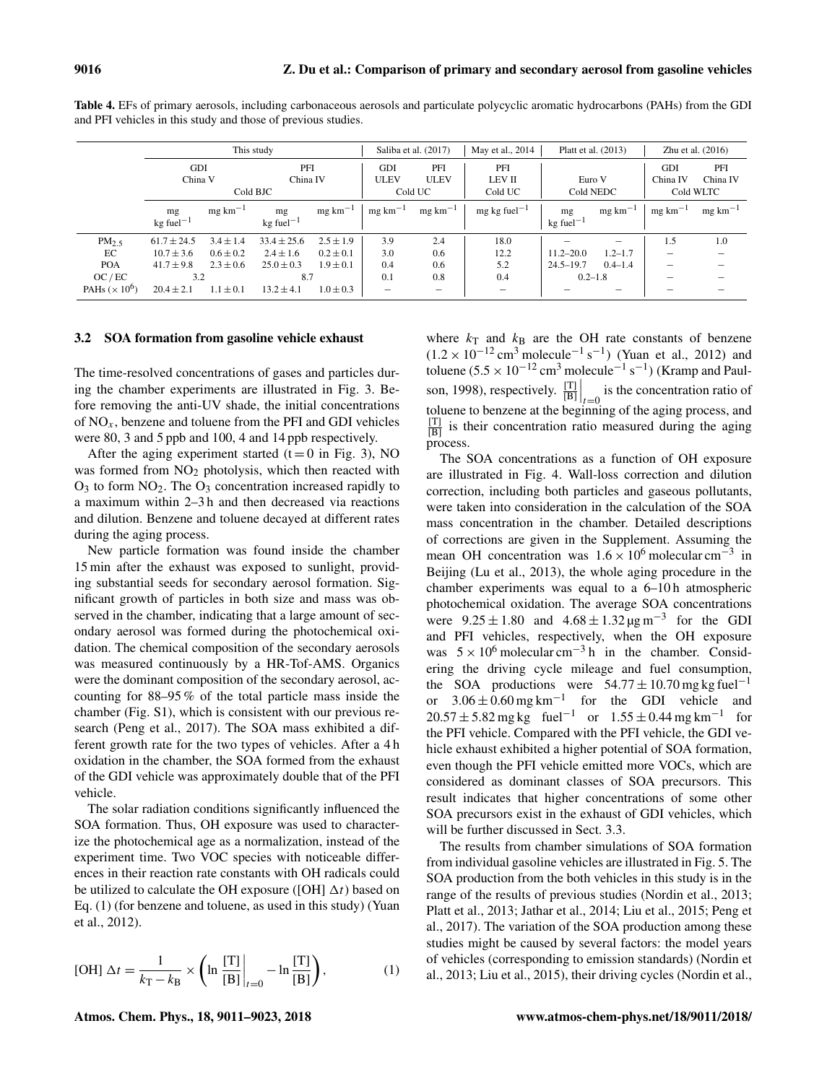|                      |                         |                      | This study              |                      | Saliba et al. (2017) |                      | May et al., 2014<br>Platt et al. (2013) |                         | Zhu et al. $(2016)$ |                          |                      |
|----------------------|-------------------------|----------------------|-------------------------|----------------------|----------------------|----------------------|-----------------------------------------|-------------------------|---------------------|--------------------------|----------------------|
|                      | GDI                     |                      | PFI                     |                      | <b>GDI</b>           | PFI                  | PFI                                     |                         |                     |                          | PFI                  |
|                      | China V                 |                      | China IV                |                      | <b>ULEV</b>          | <b>ULEV</b>          | <b>LEV II</b>                           | Euro V                  |                     | China IV                 | China IV             |
|                      | Cold BJC                |                      |                         |                      |                      | Cold UC              | Cold UC                                 | Cold NEDC               |                     | Cold WLTC                |                      |
|                      | mg                      | $mg \text{ km}^{-1}$ | mg                      | $mg \text{ km}^{-1}$ | $mg \text{ km}^{-1}$ | $mg \text{ km}^{-1}$ | $mg \text{ kg}$ fuel <sup>-1</sup>      | mg                      | $mg \, km^{-1}$     | $mg \text{ km}^{-1}$     | $mg \text{ km}^{-1}$ |
|                      | $kg$ fuel <sup>-1</sup> |                      | $kg$ fuel <sup>-1</sup> |                      |                      |                      |                                         | $kg$ fuel <sup>-1</sup> |                     |                          |                      |
| PM <sub>2.5</sub>    | $61.7 + 24.5$           | $3.4 + 1.4$          | $33.4 \pm 25.6$         | $2.5 + 1.9$          | 3.9                  | 2.4                  | 18.0                                    |                         | $\qquad \qquad$     | 1.5                      | 1.0                  |
| EC                   | $10.7 \pm 3.6$          | $0.6 \pm 0.2$        | $2.4 \pm 1.6$           | $0.2 \pm 0.1$        | 3.0                  | 0.6                  | 12.2                                    | $11.2 - 20.0$           | $1.2 - 1.7$         | $\overline{\phantom{0}}$ |                      |
| <b>POA</b>           | $41.7 \pm 9.8$          | $2.3 + 0.6$          | $25.0 \pm 0.3$          | $1.9 + 0.1$          | 0.4                  | 0.6                  | 5.2                                     | $24.5 - 19.7$           | $0.4 - 1.4$         |                          |                      |
| OC/EC                | 3.2                     |                      | 8.7                     |                      | 0.1                  | 0.8                  | 0.4                                     | $0.2 - 1.8$             |                     |                          |                      |
| PAHs $(\times 10^6)$ | $20.4 \pm 2.1$          | $1.1 \pm 0.1$        | $13.2 \pm 4.1$          | $1.0 \pm 0.3$        | $\hspace{0.05cm}$    | $\qquad \qquad$      |                                         |                         |                     |                          |                      |

Table 4. EFs of primary aerosols, including carbonaceous aerosols and particulate polycyclic aromatic hydrocarbons (PAHs) from the GDI and PFI vehicles in this study and those of previous studies.

## 3.2 SOA formation from gasoline vehicle exhaust

The time-resolved concentrations of gases and particles during the chamber experiments are illustrated in Fig. 3. Before removing the anti-UV shade, the initial concentrations of  $NO<sub>x</sub>$ , benzene and toluene from the PFI and GDI vehicles were 80, 3 and 5 ppb and 100, 4 and 14 ppb respectively.

After the aging experiment started ( $t = 0$  in Fig. 3), NO was formed from  $NO<sub>2</sub>$  photolysis, which then reacted with  $O_3$  to form  $NO_2$ . The  $O_3$  concentration increased rapidly to a maximum within 2–3 h and then decreased via reactions and dilution. Benzene and toluene decayed at different rates during the aging process.

New particle formation was found inside the chamber 15 min after the exhaust was exposed to sunlight, providing substantial seeds for secondary aerosol formation. Significant growth of particles in both size and mass was observed in the chamber, indicating that a large amount of secondary aerosol was formed during the photochemical oxidation. The chemical composition of the secondary aerosols was measured continuously by a HR-Tof-AMS. Organics were the dominant composition of the secondary aerosol, accounting for 88–95 % of the total particle mass inside the chamber (Fig. S1), which is consistent with our previous research (Peng et al., 2017). The SOA mass exhibited a different growth rate for the two types of vehicles. After a 4 h oxidation in the chamber, the SOA formed from the exhaust of the GDI vehicle was approximately double that of the PFI vehicle.

The solar radiation conditions significantly influenced the SOA formation. Thus, OH exposure was used to characterize the photochemical age as a normalization, instead of the experiment time. Two VOC species with noticeable differences in their reaction rate constants with OH radicals could be utilized to calculate the OH exposure ([OH]  $\Delta t$ ) based on Eq. (1) (for benzene and toluene, as used in this study) (Yuan et al., 2012).

$$
[OH] \Delta t = \frac{1}{k_{\rm T} - k_{\rm B}} \times \left( \ln \frac{[{\rm T}]}{[{\rm B}]} \bigg|_{t=0} - \ln \frac{[{\rm T}]}{[{\rm B}]} \right),\tag{1}
$$

where  $k_T$  and  $k_B$  are the OH rate constants of benzene  $(1.2 \times 10^{-12} \text{ cm}^3 \text{ molecule}^{-1} \text{ s}^{-1})$  (Yuan et al., 2012) and toluene  $(5.5 \times 10^{-12} \text{ cm}^3 \text{ molecule}^{-1} \text{ s}^{-1})$  (Kramp and Paulson, 1998), respectively.  $\frac{[\text{T}]}{[\text{B}]} \Big|_{t=0}$  is the concentration ratio of toluene to benzene at the beginning of the aging process, and  $\frac{[T]}{[B]}$  is their concentration ratio measured during the aging process.

The SOA concentrations as a function of OH exposure are illustrated in Fig. 4. Wall-loss correction and dilution correction, including both particles and gaseous pollutants, were taken into consideration in the calculation of the SOA mass concentration in the chamber. Detailed descriptions of corrections are given in the Supplement. Assuming the mean OH concentration was  $1.6 \times 10^6$  molecular cm<sup>-3</sup> in Beijing (Lu et al., 2013), the whole aging procedure in the chamber experiments was equal to a 6–10 h atmospheric photochemical oxidation. The average SOA concentrations were  $9.25 \pm 1.80$  and  $4.68 \pm 1.32 \,\mu g \,\text{m}^{-3}$  for the GDI and PFI vehicles, respectively, when the OH exposure was  $5 \times 10^6$  molecular cm<sup>-3</sup> h in the chamber. Considering the driving cycle mileage and fuel consumption, the SOA productions were  $54.77 \pm 10.70$  mg kg fuel<sup>-1</sup> or  $3.06 \pm 0.60$  mg km<sup>-1</sup> for the GDI vehicle and  $20.57 \pm 5.82$  mg kg fuel<sup>-1</sup> or  $1.55 \pm 0.44$  mg km<sup>-1</sup> for the PFI vehicle. Compared with the PFI vehicle, the GDI vehicle exhaust exhibited a higher potential of SOA formation, even though the PFI vehicle emitted more VOCs, which are considered as dominant classes of SOA precursors. This result indicates that higher concentrations of some other SOA precursors exist in the exhaust of GDI vehicles, which will be further discussed in Sect. 3.3.

The results from chamber simulations of SOA formation from individual gasoline vehicles are illustrated in Fig. 5. The SOA production from the both vehicles in this study is in the range of the results of previous studies (Nordin et al., 2013; Platt et al., 2013; Jathar et al., 2014; Liu et al., 2015; Peng et al., 2017). The variation of the SOA production among these studies might be caused by several factors: the model years of vehicles (corresponding to emission standards) (Nordin et al., 2013; Liu et al., 2015), their driving cycles (Nordin et al.,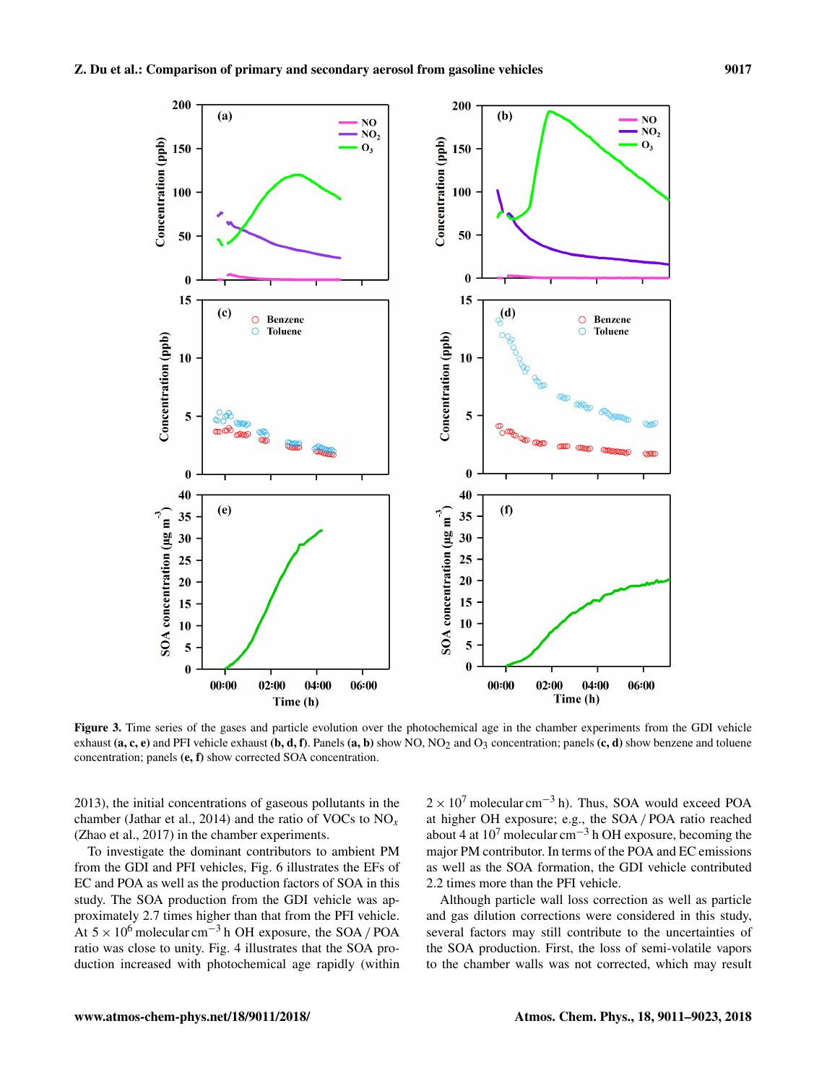

Figure 3. Time series of the gases and particle evolution over the photochemical age in the chamber experiments from the GDI vehicle exhaust (a, c, e) and PFI vehicle exhaust (b, d, f). Panels (a, b) show NO, NO<sub>2</sub> and O<sub>3</sub> concentration; panels (c, d) show benzene and toluene concentration; panels (e, f) show corrected SOA concentration.

2013), the initial concentrations of gaseous pollutants in the chamber (Jathar et al., 2014) and the ratio of VOCs to  $NO<sub>x</sub>$ (Zhao et al., 2017) in the chamber experiments.

To investigate the dominant contributors to ambient PM from the GDI and PFI vehicles, Fig. 6 illustrates the EFs of EC and POA as well as the production factors of SOA in this study. The SOA production from the GDI vehicle was approximately 2.7 times higher than that from the PFI vehicle. At  $5 \times 10^6$  molecular cm<sup>-3</sup> h OH exposure, the SOA / POA ratio was close to unity. Fig. 4 illustrates that the SOA production increased with photochemical age rapidly (within  $2 \times 10^7$  molecular cm<sup>-3</sup> h). Thus, SOA would exceed POA at higher OH exposure; e.g., the SOA / POA ratio reached about 4 at  $10^7$  molecular cm<sup>-3</sup> h OH exposure, becoming the major PM contributor. In terms of the POA and EC emissions as well as the SOA formation, the GDI vehicle contributed 2.2 times more than the PFI vehicle.

Although particle wall loss correction as well as particle and gas dilution corrections were considered in this study, several factors may still contribute to the uncertainties of the SOA production. First, the loss of semi-volatile vapors to the chamber walls was not corrected, which may result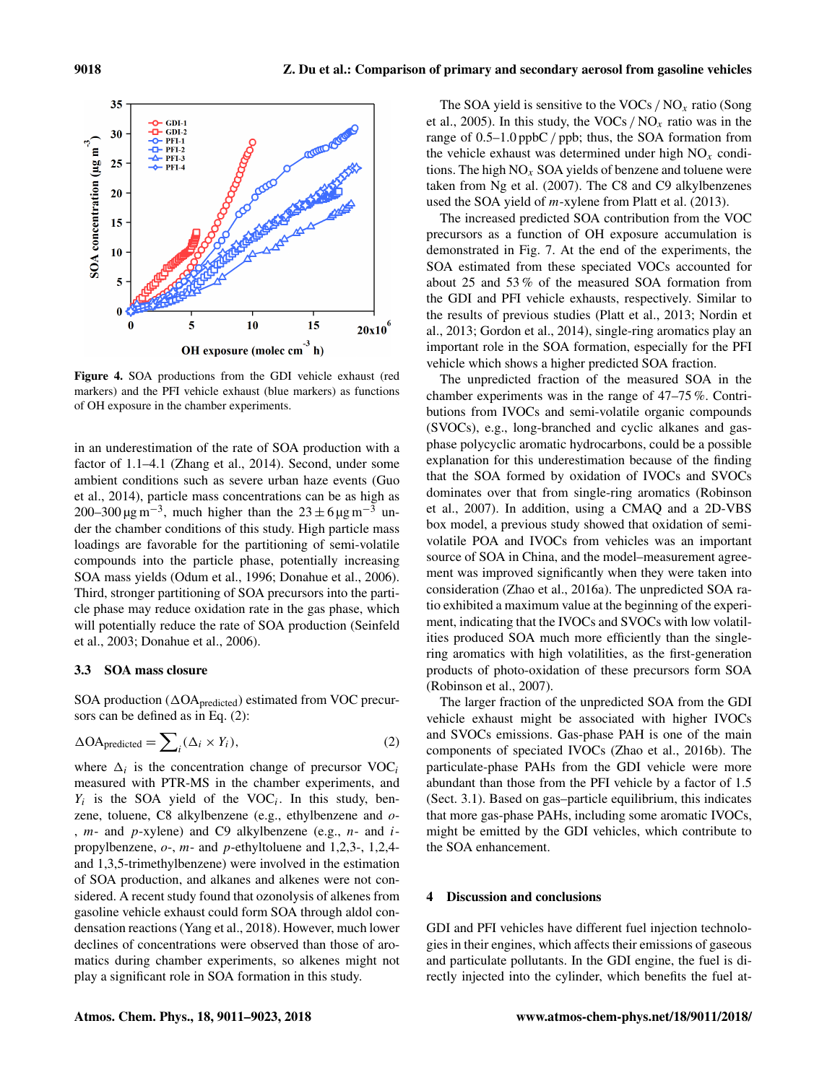

Figure 4. SOA productions from the GDI vehicle exhaust (red markers) and the PFI vehicle exhaust (blue markers) as functions of OH exposure in the chamber experiments.

in an underestimation of the rate of SOA production with a factor of 1.1–4.1 (Zhang et al., 2014). Second, under some ambient conditions such as severe urban haze events (Guo et al., 2014), particle mass concentrations can be as high as 200–300  $\mu$ g m<sup>-3</sup>, much higher than the 23 ± 6  $\mu$ g m<sup>-3</sup> under the chamber conditions of this study. High particle mass loadings are favorable for the partitioning of semi-volatile compounds into the particle phase, potentially increasing SOA mass yields (Odum et al., 1996; Donahue et al., 2006). Third, stronger partitioning of SOA precursors into the particle phase may reduce oxidation rate in the gas phase, which will potentially reduce the rate of SOA production (Seinfeld et al., 2003; Donahue et al., 2006).

## 3.3 SOA mass closure

SOA production ( $\Delta$ OA<sub>predicted</sub>) estimated from VOC precursors can be defined as in Eq. (2):

$$
\Delta \text{OA}_{\text{predicted}} = \sum_{i} (\Delta_i \times Y_i), \tag{2}
$$

where  $\Delta_i$  is the concentration change of precursor VOC<sub>i</sub> measured with PTR-MS in the chamber experiments, and  $Y_i$  is the SOA yield of the VOC<sub>i</sub>. In this study, benzene, toluene, C8 alkylbenzene (e.g., ethylbenzene and o- ,  $m-$  and  $p-$ xylene) and C9 alkylbenzene (e.g.,  $n-$  and  $i$ propylbenzene, o-, m- and p-ethyltoluene and 1,2,3-, 1,2,4 and 1,3,5-trimethylbenzene) were involved in the estimation of SOA production, and alkanes and alkenes were not considered. A recent study found that ozonolysis of alkenes from gasoline vehicle exhaust could form SOA through aldol condensation reactions (Yang et al., 2018). However, much lower declines of concentrations were observed than those of aromatics during chamber experiments, so alkenes might not play a significant role in SOA formation in this study.

The SOA yield is sensitive to the VOCs /  $NO<sub>x</sub>$  ratio (Song et al., 2005). In this study, the VOCs /  $NO<sub>x</sub>$  ratio was in the range of 0.5–1.0 ppbC / ppb; thus, the SOA formation from the vehicle exhaust was determined under high  $NO<sub>x</sub>$  conditions. The high  $NO<sub>x</sub>$  SOA yields of benzene and toluene were taken from Ng et al. (2007). The C8 and C9 alkylbenzenes used the SOA yield of m-xylene from Platt et al. (2013).

The increased predicted SOA contribution from the VOC precursors as a function of OH exposure accumulation is demonstrated in Fig. 7. At the end of the experiments, the SOA estimated from these speciated VOCs accounted for about 25 and 53 % of the measured SOA formation from the GDI and PFI vehicle exhausts, respectively. Similar to the results of previous studies (Platt et al., 2013; Nordin et al., 2013; Gordon et al., 2014), single-ring aromatics play an important role in the SOA formation, especially for the PFI vehicle which shows a higher predicted SOA fraction.

The unpredicted fraction of the measured SOA in the chamber experiments was in the range of 47–75 %. Contributions from IVOCs and semi-volatile organic compounds (SVOCs), e.g., long-branched and cyclic alkanes and gasphase polycyclic aromatic hydrocarbons, could be a possible explanation for this underestimation because of the finding that the SOA formed by oxidation of IVOCs and SVOCs dominates over that from single-ring aromatics (Robinson et al., 2007). In addition, using a CMAQ and a 2D-VBS box model, a previous study showed that oxidation of semivolatile POA and IVOCs from vehicles was an important source of SOA in China, and the model–measurement agreement was improved significantly when they were taken into consideration (Zhao et al., 2016a). The unpredicted SOA ratio exhibited a maximum value at the beginning of the experiment, indicating that the IVOCs and SVOCs with low volatilities produced SOA much more efficiently than the singlering aromatics with high volatilities, as the first-generation products of photo-oxidation of these precursors form SOA (Robinson et al., 2007).

The larger fraction of the unpredicted SOA from the GDI vehicle exhaust might be associated with higher IVOCs and SVOCs emissions. Gas-phase PAH is one of the main components of speciated IVOCs (Zhao et al., 2016b). The particulate-phase PAHs from the GDI vehicle were more abundant than those from the PFI vehicle by a factor of 1.5 (Sect. 3.1). Based on gas–particle equilibrium, this indicates that more gas-phase PAHs, including some aromatic IVOCs, might be emitted by the GDI vehicles, which contribute to the SOA enhancement.

## 4 Discussion and conclusions

GDI and PFI vehicles have different fuel injection technologies in their engines, which affects their emissions of gaseous and particulate pollutants. In the GDI engine, the fuel is directly injected into the cylinder, which benefits the fuel at-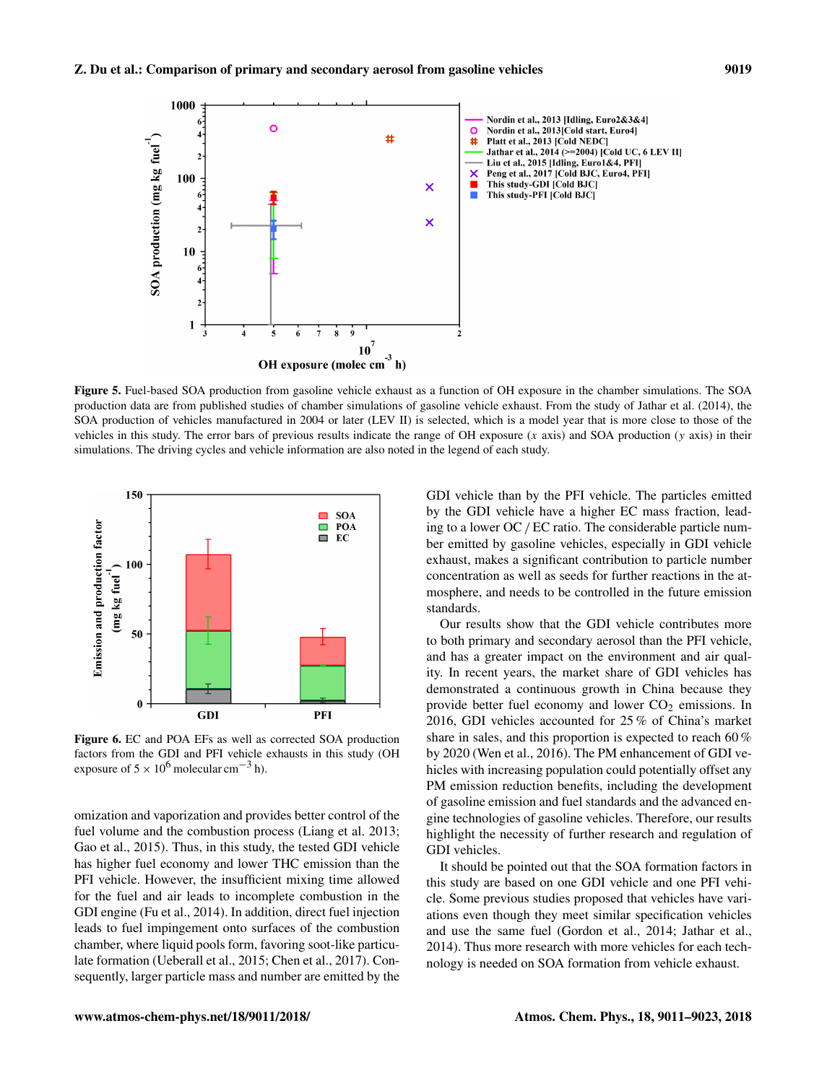

Figure 5. Fuel-based SOA production from gasoline vehicle exhaust as a function of OH exposure in the chamber simulations. The SOA production data are from published studies of chamber simulations of gasoline vehicle exhaust. From the study of Jathar et al. (2014), the SOA production of vehicles manufactured in 2004 or later (LEV II) is selected, which is a model year that is more close to those of the vehicles in this study. The error bars of previous results indicate the range of OH exposure  $(x \text{ axis})$  and SOA production  $(y \text{ axis})$  in their simulations. The driving cycles and vehicle information are also noted in the legend of each study.



Figure 6. EC and POA EFs as well as corrected SOA production factors from the GDI and PFI vehicle exhausts in this study (OH exposure of  $5 \times 10^6$  molecular cm<sup>-3</sup> h).

omization and vaporization and provides better control of the fuel volume and the combustion process (Liang et al. 2013; Gao et al., 2015). Thus, in this study, the tested GDI vehicle has higher fuel economy and lower THC emission than the PFI vehicle. However, the insufficient mixing time allowed for the fuel and air leads to incomplete combustion in the GDI engine (Fu et al., 2014). In addition, direct fuel injection leads to fuel impingement onto surfaces of the combustion chamber, where liquid pools form, favoring soot-like particulate formation (Ueberall et al., 2015; Chen et al., 2017). Consequently, larger particle mass and number are emitted by the GDI vehicle than by the PFI vehicle. The particles emitted by the GDI vehicle have a higher EC mass fraction, leading to a lower OC / EC ratio. The considerable particle number emitted by gasoline vehicles, especially in GDI vehicle exhaust, makes a significant contribution to particle number concentration as well as seeds for further reactions in the atmosphere, and needs to be controlled in the future emission standards.

Our results show that the GDI vehicle contributes more to both primary and secondary aerosol than the PFI vehicle, and has a greater impact on the environment and air quality. In recent years, the market share of GDI vehicles has demonstrated a continuous growth in China because they provide better fuel economy and lower  $CO<sub>2</sub>$  emissions. In 2016, GDI vehicles accounted for 25 % of China's market share in sales, and this proportion is expected to reach 60 % by 2020 (Wen et al., 2016). The PM enhancement of GDI vehicles with increasing population could potentially offset any PM emission reduction benefits, including the development of gasoline emission and fuel standards and the advanced engine technologies of gasoline vehicles. Therefore, our results highlight the necessity of further research and regulation of GDI vehicles.

It should be pointed out that the SOA formation factors in this study are based on one GDI vehicle and one PFI vehicle. Some previous studies proposed that vehicles have variations even though they meet similar specification vehicles and use the same fuel (Gordon et al., 2014; Jathar et al., 2014). Thus more research with more vehicles for each technology is needed on SOA formation from vehicle exhaust.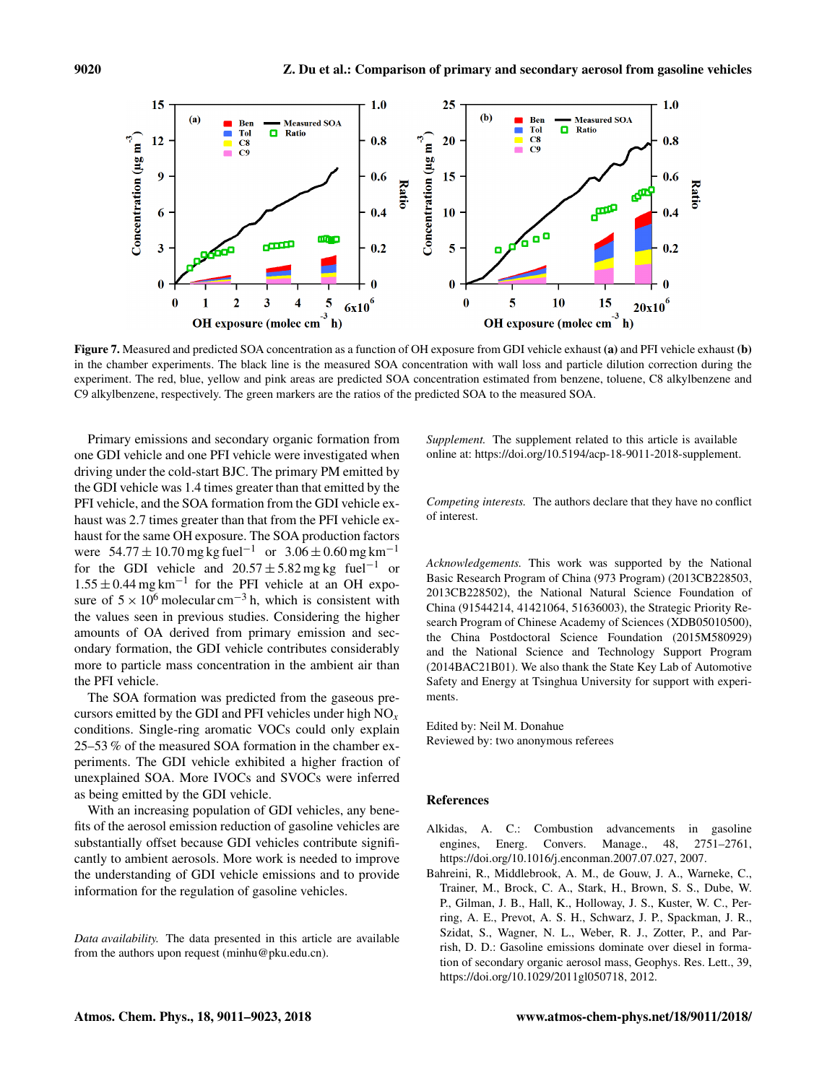

Figure 7. Measured and predicted SOA concentration as a function of OH exposure from GDI vehicle exhaust (a) and PFI vehicle exhaust (b) in the chamber experiments. The black line is the measured SOA concentration with wall loss and particle dilution correction during the experiment. The red, blue, yellow and pink areas are predicted SOA concentration estimated from benzene, toluene, C8 alkylbenzene and C9 alkylbenzene, respectively. The green markers are the ratios of the predicted SOA to the measured SOA.

Primary emissions and secondary organic formation from one GDI vehicle and one PFI vehicle were investigated when driving under the cold-start BJC. The primary PM emitted by the GDI vehicle was 1.4 times greater than that emitted by the PFI vehicle, and the SOA formation from the GDI vehicle exhaust was 2.7 times greater than that from the PFI vehicle exhaust for the same OH exposure. The SOA production factors were  $54.77 \pm 10.70$  mg kg fuel<sup>-1</sup> or  $3.06 \pm 0.60$  mg km<sup>-1</sup> for the GDI vehicle and  $20.57 \pm 5.82$  mg kg fuel<sup>-1</sup> or  $1.55 \pm 0.44$  mg km<sup>-1</sup> for the PFI vehicle at an OH exposure of  $5 \times 10^6$  molecular cm<sup>-3</sup> h, which is consistent with the values seen in previous studies. Considering the higher amounts of OA derived from primary emission and secondary formation, the GDI vehicle contributes considerably more to particle mass concentration in the ambient air than the PFI vehicle.

The SOA formation was predicted from the gaseous precursors emitted by the GDI and PFI vehicles under high  $NO<sub>x</sub>$ conditions. Single-ring aromatic VOCs could only explain 25–53 % of the measured SOA formation in the chamber experiments. The GDI vehicle exhibited a higher fraction of unexplained SOA. More IVOCs and SVOCs were inferred as being emitted by the GDI vehicle.

With an increasing population of GDI vehicles, any benefits of the aerosol emission reduction of gasoline vehicles are substantially offset because GDI vehicles contribute significantly to ambient aerosols. More work is needed to improve the understanding of GDI vehicle emissions and to provide information for the regulation of gasoline vehicles.

*Data availability.* The data presented in this article are available from the authors upon request (minhu@pku.edu.cn).

*Supplement.* The supplement related to this article is available online at: [https://doi.org/10.5194/acp-18-9011-2018-supplement.](https://doi.org/10.5194/acp-18-9011-2018-supplement)

*Competing interests.* The authors declare that they have no conflict of interest.

*Acknowledgements.* This work was supported by the National Basic Research Program of China (973 Program) (2013CB228503, 2013CB228502), the National Natural Science Foundation of China (91544214, 41421064, 51636003), the Strategic Priority Research Program of Chinese Academy of Sciences (XDB05010500), the China Postdoctoral Science Foundation (2015M580929) and the National Science and Technology Support Program (2014BAC21B01). We also thank the State Key Lab of Automotive Safety and Energy at Tsinghua University for support with experiments.

Edited by: Neil M. Donahue Reviewed by: two anonymous referees

## References

- Alkidas, A. C.: Combustion advancements in gasoline engines, Energ. Convers. Manage., 48, 2751–2761, https://doi.org[/10.1016/j.enconman.2007.07.027,](https://doi.org/10.1016/j.enconman.2007.07.027) 2007.
- Bahreini, R., Middlebrook, A. M., de Gouw, J. A., Warneke, C., Trainer, M., Brock, C. A., Stark, H., Brown, S. S., Dube, W. P., Gilman, J. B., Hall, K., Holloway, J. S., Kuster, W. C., Perring, A. E., Prevot, A. S. H., Schwarz, J. P., Spackman, J. R., Szidat, S., Wagner, N. L., Weber, R. J., Zotter, P., and Parrish, D. D.: Gasoline emissions dominate over diesel in formation of secondary organic aerosol mass, Geophys. Res. Lett., 39, https://doi.org[/10.1029/2011gl050718,](https://doi.org/10.1029/2011gl050718) 2012.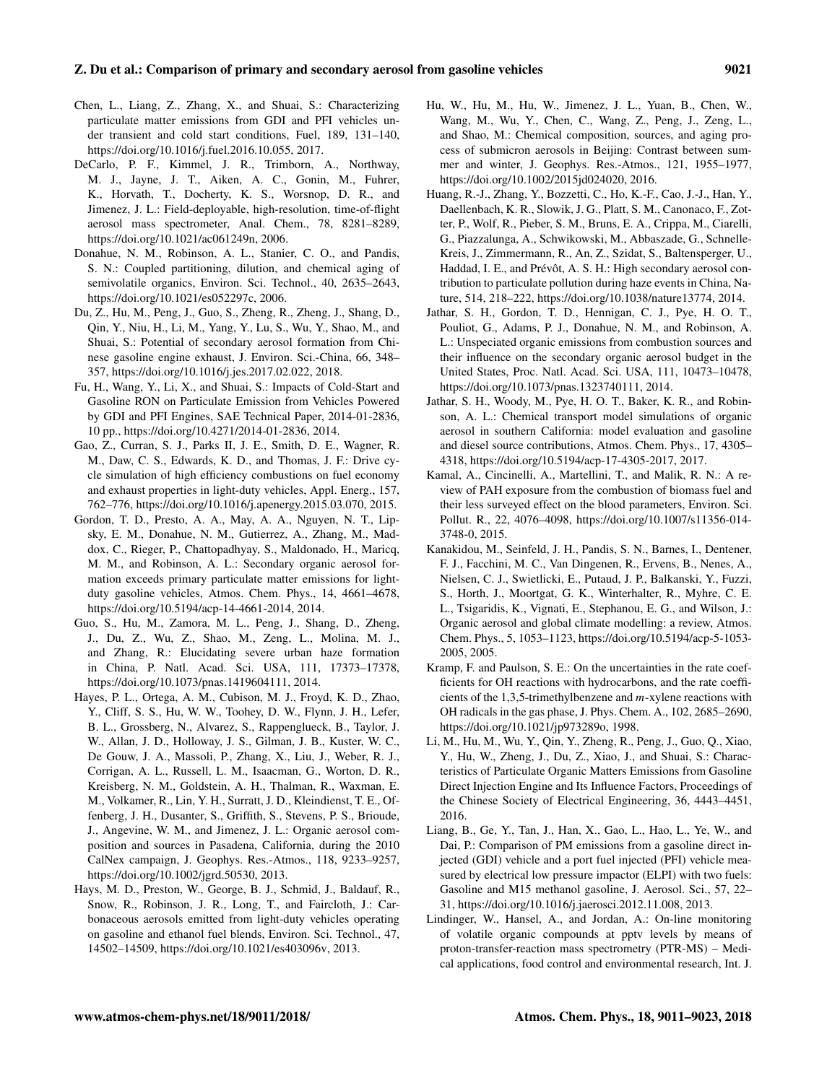## Z. Du et al.: Comparison of primary and secondary aerosol from gasoline vehicles 9021

- Chen, L., Liang, Z., Zhang, X., and Shuai, S.: Characterizing particulate matter emissions from GDI and PFI vehicles under transient and cold start conditions, Fuel, 189, 131–140, https://doi.org[/10.1016/j.fuel.2016.10.055,](https://doi.org/10.1016/j.fuel.2016.10.055) 2017.
- DeCarlo, P. F., Kimmel, J. R., Trimborn, A., Northway, M. J., Jayne, J. T., Aiken, A. C., Gonin, M., Fuhrer, K., Horvath, T., Docherty, K. S., Worsnop, D. R., and Jimenez, J. L.: Field-deployable, high-resolution, time-of-flight aerosol mass spectrometer, Anal. Chem., 78, 8281–8289, https://doi.org[/10.1021/ac061249n,](https://doi.org/10.1021/ac061249n) 2006.
- Donahue, N. M., Robinson, A. L., Stanier, C. O., and Pandis, S. N.: Coupled partitioning, dilution, and chemical aging of semivolatile organics, Environ. Sci. Technol., 40, 2635–2643, https://doi.org[/10.1021/es052297c,](https://doi.org/10.1021/es052297c) 2006.
- Du, Z., Hu, M., Peng, J., Guo, S., Zheng, R., Zheng, J., Shang, D., Qin, Y., Niu, H., Li, M., Yang, Y., Lu, S., Wu, Y., Shao, M., and Shuai, S.: Potential of secondary aerosol formation from Chinese gasoline engine exhaust, J. Environ. Sci.-China, 66, 348– 357, https://doi.org[/10.1016/j.jes.2017.02.022,](https://doi.org/10.1016/j.jes.2017.02.022) 2018.
- Fu, H., Wang, Y., Li, X., and Shuai, S.: Impacts of Cold-Start and Gasoline RON on Particulate Emission from Vehicles Powered by GDI and PFI Engines, SAE Technical Paper, 2014-01-2836, 10 pp., https://doi.org[/10.4271/2014-01-2836,](https://doi.org/10.4271/2014-01-2836) 2014.
- Gao, Z., Curran, S. J., Parks II, J. E., Smith, D. E., Wagner, R. M., Daw, C. S., Edwards, K. D., and Thomas, J. F.: Drive cycle simulation of high efficiency combustions on fuel economy and exhaust properties in light-duty vehicles, Appl. Energ., 157, 762–776, https://doi.org[/10.1016/j.apenergy.2015.03.070,](https://doi.org/10.1016/j.apenergy.2015.03.070) 2015.
- Gordon, T. D., Presto, A. A., May, A. A., Nguyen, N. T., Lipsky, E. M., Donahue, N. M., Gutierrez, A., Zhang, M., Maddox, C., Rieger, P., Chattopadhyay, S., Maldonado, H., Maricq, M. M., and Robinson, A. L.: Secondary organic aerosol formation exceeds primary particulate matter emissions for lightduty gasoline vehicles, Atmos. Chem. Phys., 14, 4661–4678, https://doi.org[/10.5194/acp-14-4661-2014,](https://doi.org/10.5194/acp-14-4661-2014) 2014.
- Guo, S., Hu, M., Zamora, M. L., Peng, J., Shang, D., Zheng, J., Du, Z., Wu, Z., Shao, M., Zeng, L., Molina, M. J., and Zhang, R.: Elucidating severe urban haze formation in China, P. Natl. Acad. Sci. USA, 111, 17373–17378, https://doi.org[/10.1073/pnas.1419604111,](https://doi.org/10.1073/pnas.1419604111) 2014.
- Hayes, P. L., Ortega, A. M., Cubison, M. J., Froyd, K. D., Zhao, Y., Cliff, S. S., Hu, W. W., Toohey, D. W., Flynn, J. H., Lefer, B. L., Grossberg, N., Alvarez, S., Rappenglueck, B., Taylor, J. W., Allan, J. D., Holloway, J. S., Gilman, J. B., Kuster, W. C., De Gouw, J. A., Massoli, P., Zhang, X., Liu, J., Weber, R. J., Corrigan, A. L., Russell, L. M., Isaacman, G., Worton, D. R., Kreisberg, N. M., Goldstein, A. H., Thalman, R., Waxman, E. M., Volkamer, R., Lin, Y. H., Surratt, J. D., Kleindienst, T. E., Offenberg, J. H., Dusanter, S., Griffith, S., Stevens, P. S., Brioude, J., Angevine, W. M., and Jimenez, J. L.: Organic aerosol composition and sources in Pasadena, California, during the 2010 CalNex campaign, J. Geophys. Res.-Atmos., 118, 9233–9257, https://doi.org[/10.1002/jgrd.50530,](https://doi.org/10.1002/jgrd.50530) 2013.
- Hays, M. D., Preston, W., George, B. J., Schmid, J., Baldauf, R., Snow, R., Robinson, J. R., Long, T., and Faircloth, J.: Carbonaceous aerosols emitted from light-duty vehicles operating on gasoline and ethanol fuel blends, Environ. Sci. Technol., 47, 14502–14509, https://doi.org[/10.1021/es403096v,](https://doi.org/10.1021/es403096v) 2013.
- Hu, W., Hu, M., Hu, W., Jimenez, J. L., Yuan, B., Chen, W., Wang, M., Wu, Y., Chen, C., Wang, Z., Peng, J., Zeng, L., and Shao, M.: Chemical composition, sources, and aging process of submicron aerosols in Beijing: Contrast between summer and winter, J. Geophys. Res.-Atmos., 121, 1955–1977, https://doi.org[/10.1002/2015jd024020,](https://doi.org/10.1002/2015jd024020) 2016.
- Huang, R.-J., Zhang, Y., Bozzetti, C., Ho, K.-F., Cao, J.-J., Han, Y., Daellenbach, K. R., Slowik, J. G., Platt, S. M., Canonaco, F., Zotter, P., Wolf, R., Pieber, S. M., Bruns, E. A., Crippa, M., Ciarelli, G., Piazzalunga, A., Schwikowski, M., Abbaszade, G., Schnelle-Kreis, J., Zimmermann, R., An, Z., Szidat, S., Baltensperger, U., Haddad, I. E., and Prévôt, A. S. H.: High secondary aerosol contribution to particulate pollution during haze events in China, Nature, 514, 218–222, https://doi.org[/10.1038/nature13774,](https://doi.org/10.1038/nature13774) 2014.
- Jathar, S. H., Gordon, T. D., Hennigan, C. J., Pye, H. O. T., Pouliot, G., Adams, P. J., Donahue, N. M., and Robinson, A. L.: Unspeciated organic emissions from combustion sources and their influence on the secondary organic aerosol budget in the United States, Proc. Natl. Acad. Sci. USA, 111, 10473–10478, https://doi.org[/10.1073/pnas.1323740111,](https://doi.org/10.1073/pnas.1323740111) 2014.
- Jathar, S. H., Woody, M., Pye, H. O. T., Baker, K. R., and Robinson, A. L.: Chemical transport model simulations of organic aerosol in southern California: model evaluation and gasoline and diesel source contributions, Atmos. Chem. Phys., 17, 4305– 4318, https://doi.org[/10.5194/acp-17-4305-2017,](https://doi.org/10.5194/acp-17-4305-2017) 2017.
- Kamal, A., Cincinelli, A., Martellini, T., and Malik, R. N.: A review of PAH exposure from the combustion of biomass fuel and their less surveyed effect on the blood parameters, Environ. Sci. Pollut. R., 22, 4076–4098, https://doi.org[/10.1007/s11356-014-](https://doi.org/10.1007/s11356-014-3748-0) [3748-0,](https://doi.org/10.1007/s11356-014-3748-0) 2015.
- Kanakidou, M., Seinfeld, J. H., Pandis, S. N., Barnes, I., Dentener, F. J., Facchini, M. C., Van Dingenen, R., Ervens, B., Nenes, A., Nielsen, C. J., Swietlicki, E., Putaud, J. P., Balkanski, Y., Fuzzi, S., Horth, J., Moortgat, G. K., Winterhalter, R., Myhre, C. E. L., Tsigaridis, K., Vignati, E., Stephanou, E. G., and Wilson, J.: Organic aerosol and global climate modelling: a review, Atmos. Chem. Phys., 5, 1053–1123, https://doi.org[/10.5194/acp-5-1053-](https://doi.org/10.5194/acp-5-1053-2005) [2005,](https://doi.org/10.5194/acp-5-1053-2005) 2005.
- Kramp, F. and Paulson, S. E.: On the uncertainties in the rate coefficients for OH reactions with hydrocarbons, and the rate coefficients of the 1,3,5-trimethylbenzene and m-xylene reactions with OH radicals in the gas phase, J. Phys. Chem. A., 102, 2685–2690, https://doi.org[/10.1021/jp973289o,](https://doi.org/10.1021/jp973289o) 1998.
- Li, M., Hu, M., Wu, Y., Qin, Y., Zheng, R., Peng, J., Guo, Q., Xiao, Y., Hu, W., Zheng, J., Du, Z., Xiao, J., and Shuai, S.: Characteristics of Particulate Organic Matters Emissions from Gasoline Direct Injection Engine and Its Influence Factors, Proceedings of the Chinese Society of Electrical Engineering, 36, 4443–4451, 2016.
- Liang, B., Ge, Y., Tan, J., Han, X., Gao, L., Hao, L., Ye, W., and Dai, P.: Comparison of PM emissions from a gasoline direct injected (GDI) vehicle and a port fuel injected (PFI) vehicle measured by electrical low pressure impactor (ELPI) with two fuels: Gasoline and M15 methanol gasoline, J. Aerosol. Sci., 57, 22– 31, https://doi.org[/10.1016/j.jaerosci.2012.11.008,](https://doi.org/10.1016/j.jaerosci.2012.11.008) 2013.
- Lindinger, W., Hansel, A., and Jordan, A.: On-line monitoring of volatile organic compounds at pptv levels by means of proton-transfer-reaction mass spectrometry (PTR-MS) – Medical applications, food control and environmental research, Int. J.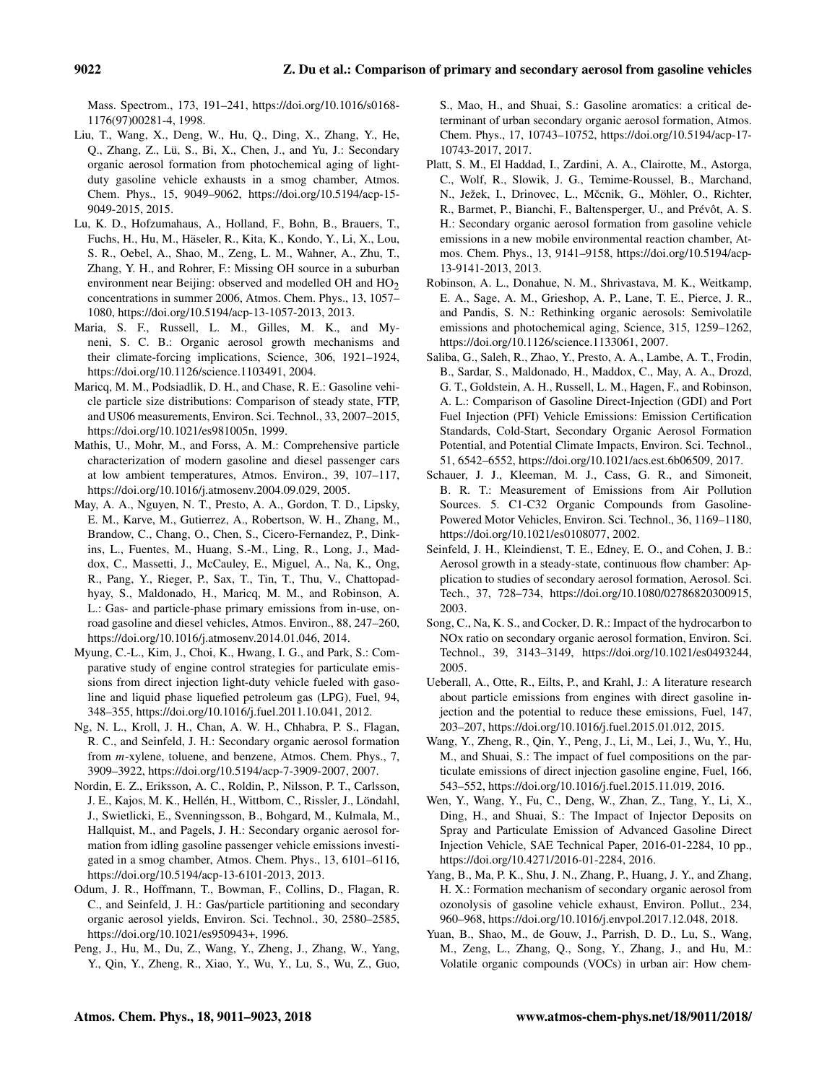Mass. Spectrom., 173, 191–241, https://doi.org[/10.1016/s0168-](https://doi.org/10.1016/s0168-1176(97)00281-4) [1176\(97\)00281-4,](https://doi.org/10.1016/s0168-1176(97)00281-4) 1998.

- Liu, T., Wang, X., Deng, W., Hu, Q., Ding, X., Zhang, Y., He, Q., Zhang, Z., Lü, S., Bi, X., Chen, J., and Yu, J.: Secondary organic aerosol formation from photochemical aging of lightduty gasoline vehicle exhausts in a smog chamber, Atmos. Chem. Phys., 15, 9049–9062, https://doi.org[/10.5194/acp-15-](https://doi.org/10.5194/acp-15-9049-2015) [9049-2015,](https://doi.org/10.5194/acp-15-9049-2015) 2015.
- Lu, K. D., Hofzumahaus, A., Holland, F., Bohn, B., Brauers, T., Fuchs, H., Hu, M., Häseler, R., Kita, K., Kondo, Y., Li, X., Lou, S. R., Oebel, A., Shao, M., Zeng, L. M., Wahner, A., Zhu, T., Zhang, Y. H., and Rohrer, F.: Missing OH source in a suburban environment near Beijing: observed and modelled OH and  $HO<sub>2</sub>$ concentrations in summer 2006, Atmos. Chem. Phys., 13, 1057– 1080, https://doi.org[/10.5194/acp-13-1057-2013,](https://doi.org/10.5194/acp-13-1057-2013) 2013.
- Maria, S. F., Russell, L. M., Gilles, M. K., and Myneni, S. C. B.: Organic aerosol growth mechanisms and their climate-forcing implications, Science, 306, 1921–1924, https://doi.org[/10.1126/science.1103491,](https://doi.org/10.1126/science.1103491) 2004.
- Maricq, M. M., Podsiadlik, D. H., and Chase, R. E.: Gasoline vehicle particle size distributions: Comparison of steady state, FTP, and US06 measurements, Environ. Sci. Technol., 33, 2007–2015, https://doi.org[/10.1021/es981005n,](https://doi.org/10.1021/es981005n) 1999.
- Mathis, U., Mohr, M., and Forss, A. M.: Comprehensive particle characterization of modern gasoline and diesel passenger cars at low ambient temperatures, Atmos. Environ., 39, 107–117, https://doi.org[/10.1016/j.atmosenv.2004.09.029,](https://doi.org/10.1016/j.atmosenv.2004.09.029) 2005.
- May, A. A., Nguyen, N. T., Presto, A. A., Gordon, T. D., Lipsky, E. M., Karve, M., Gutierrez, A., Robertson, W. H., Zhang, M., Brandow, C., Chang, O., Chen, S., Cicero-Fernandez, P., Dinkins, L., Fuentes, M., Huang, S.-M., Ling, R., Long, J., Maddox, C., Massetti, J., McCauley, E., Miguel, A., Na, K., Ong, R., Pang, Y., Rieger, P., Sax, T., Tin, T., Thu, V., Chattopadhyay, S., Maldonado, H., Maricq, M. M., and Robinson, A. L.: Gas- and particle-phase primary emissions from in-use, onroad gasoline and diesel vehicles, Atmos. Environ., 88, 247–260, https://doi.org[/10.1016/j.atmosenv.2014.01.046,](https://doi.org/10.1016/j.atmosenv.2014.01.046) 2014.
- Myung, C.-L., Kim, J., Choi, K., Hwang, I. G., and Park, S.: Comparative study of engine control strategies for particulate emissions from direct injection light-duty vehicle fueled with gasoline and liquid phase liquefied petroleum gas (LPG), Fuel, 94, 348–355, https://doi.org[/10.1016/j.fuel.2011.10.041,](https://doi.org/10.1016/j.fuel.2011.10.041) 2012.
- Ng, N. L., Kroll, J. H., Chan, A. W. H., Chhabra, P. S., Flagan, R. C., and Seinfeld, J. H.: Secondary organic aerosol formation from m-xylene, toluene, and benzene, Atmos. Chem. Phys., 7, 3909–3922, https://doi.org[/10.5194/acp-7-3909-2007,](https://doi.org/10.5194/acp-7-3909-2007) 2007.
- Nordin, E. Z., Eriksson, A. C., Roldin, P., Nilsson, P. T., Carlsson, J. E., Kajos, M. K., Hellén, H., Wittbom, C., Rissler, J., Löndahl, J., Swietlicki, E., Svenningsson, B., Bohgard, M., Kulmala, M., Hallquist, M., and Pagels, J. H.: Secondary organic aerosol formation from idling gasoline passenger vehicle emissions investigated in a smog chamber, Atmos. Chem. Phys., 13, 6101–6116, https://doi.org[/10.5194/acp-13-6101-2013,](https://doi.org/10.5194/acp-13-6101-2013) 2013.
- Odum, J. R., Hoffmann, T., Bowman, F., Collins, D., Flagan, R. C., and Seinfeld, J. H.: Gas/particle partitioning and secondary organic aerosol yields, Environ. Sci. Technol., 30, 2580–2585, https://doi.org[/10.1021/es950943+,](https://doi.org/10.1021/es950943+) 1996.
- Peng, J., Hu, M., Du, Z., Wang, Y., Zheng, J., Zhang, W., Yang, Y., Qin, Y., Zheng, R., Xiao, Y., Wu, Y., Lu, S., Wu, Z., Guo,

S., Mao, H., and Shuai, S.: Gasoline aromatics: a critical determinant of urban secondary organic aerosol formation, Atmos. Chem. Phys., 17, 10743–10752, https://doi.org[/10.5194/acp-17-](https://doi.org/10.5194/acp-17-10743-2017) [10743-2017,](https://doi.org/10.5194/acp-17-10743-2017) 2017.

- Platt, S. M., El Haddad, I., Zardini, A. A., Clairotte, M., Astorga, C., Wolf, R., Slowik, J. G., Temime-Roussel, B., Marchand, N., Ježek, I., Drinovec, L., Mčcnik, G., Möhler, O., Richter, R., Barmet, P., Bianchi, F., Baltensperger, U., and Prévôt, A. S. H.: Secondary organic aerosol formation from gasoline vehicle emissions in a new mobile environmental reaction chamber, Atmos. Chem. Phys., 13, 9141–9158, https://doi.org[/10.5194/acp-](https://doi.org/10.5194/acp-13-9141-2013)[13-9141-2013,](https://doi.org/10.5194/acp-13-9141-2013) 2013.
- Robinson, A. L., Donahue, N. M., Shrivastava, M. K., Weitkamp, E. A., Sage, A. M., Grieshop, A. P., Lane, T. E., Pierce, J. R., and Pandis, S. N.: Rethinking organic aerosols: Semivolatile emissions and photochemical aging, Science, 315, 1259–1262, https://doi.org[/10.1126/science.1133061,](https://doi.org/10.1126/science.1133061) 2007.
- Saliba, G., Saleh, R., Zhao, Y., Presto, A. A., Lambe, A. T., Frodin, B., Sardar, S., Maldonado, H., Maddox, C., May, A. A., Drozd, G. T., Goldstein, A. H., Russell, L. M., Hagen, F., and Robinson, A. L.: Comparison of Gasoline Direct-Injection (GDI) and Port Fuel Injection (PFI) Vehicle Emissions: Emission Certification Standards, Cold-Start, Secondary Organic Aerosol Formation Potential, and Potential Climate Impacts, Environ. Sci. Technol., 51, 6542–6552, https://doi.org[/10.1021/acs.est.6b06509,](https://doi.org/10.1021/acs.est.6b06509) 2017.
- Schauer, J. J., Kleeman, M. J., Cass, G. R., and Simoneit, B. R. T.: Measurement of Emissions from Air Pollution Sources. 5. C1-C32 Organic Compounds from Gasoline-Powered Motor Vehicles, Environ. Sci. Technol., 36, 1169–1180, https://doi.org[/10.1021/es0108077,](https://doi.org/10.1021/es0108077) 2002.
- Seinfeld, J. H., Kleindienst, T. E., Edney, E. O., and Cohen, J. B.: Aerosol growth in a steady-state, continuous flow chamber: Application to studies of secondary aerosol formation, Aerosol. Sci. Tech., 37, 728–734, https://doi.org[/10.1080/02786820300915,](https://doi.org/10.1080/02786820300915) 2003.
- Song, C., Na, K. S., and Cocker, D. R.: Impact of the hydrocarbon to NOx ratio on secondary organic aerosol formation, Environ. Sci. Technol., 39, 3143–3149, https://doi.org[/10.1021/es0493244,](https://doi.org/10.1021/es0493244) 2005.
- Ueberall, A., Otte, R., Eilts, P., and Krahl, J.: A literature research about particle emissions from engines with direct gasoline injection and the potential to reduce these emissions, Fuel, 147, 203–207, https://doi.org[/10.1016/j.fuel.2015.01.012,](https://doi.org/10.1016/j.fuel.2015.01.012) 2015.
- Wang, Y., Zheng, R., Qin, Y., Peng, J., Li, M., Lei, J., Wu, Y., Hu, M., and Shuai, S.: The impact of fuel compositions on the particulate emissions of direct injection gasoline engine, Fuel, 166, 543–552, https://doi.org[/10.1016/j.fuel.2015.11.019,](https://doi.org/10.1016/j.fuel.2015.11.019) 2016.
- Wen, Y., Wang, Y., Fu, C., Deng, W., Zhan, Z., Tang, Y., Li, X., Ding, H., and Shuai, S.: The Impact of Injector Deposits on Spray and Particulate Emission of Advanced Gasoline Direct Injection Vehicle, SAE Technical Paper, 2016-01-2284, 10 pp., https://doi.org[/10.4271/2016-01-2284,](https://doi.org/10.4271/2016-01-2284) 2016.
- Yang, B., Ma, P. K., Shu, J. N., Zhang, P., Huang, J. Y., and Zhang, H. X.: Formation mechanism of secondary organic aerosol from ozonolysis of gasoline vehicle exhaust, Environ. Pollut., 234, 960–968, https://doi.org[/10.1016/j.envpol.2017.12.048,](https://doi.org/10.1016/j.envpol.2017.12.048) 2018.
- Yuan, B., Shao, M., de Gouw, J., Parrish, D. D., Lu, S., Wang, M., Zeng, L., Zhang, Q., Song, Y., Zhang, J., and Hu, M.: Volatile organic compounds (VOCs) in urban air: How chem-